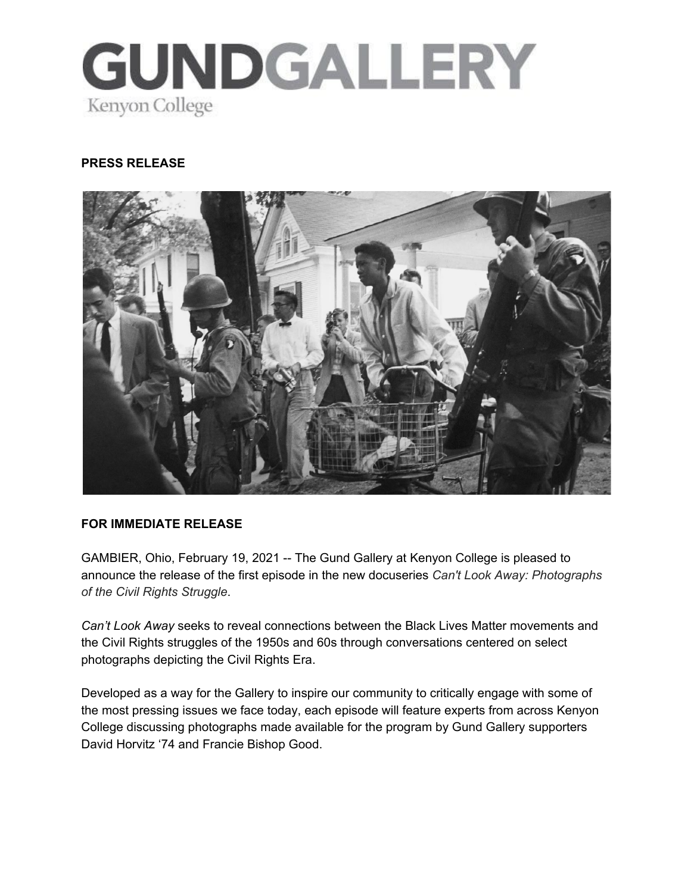

#### **PRESS RELEASE**



#### **FOR IMMEDIATE RELEASE**

GAMBIER, Ohio, February 19, 2021 -- The Gund Gallery at Kenyon College is pleased to announce the release of the first episode in the new docuseries *Can't Look Away: Photographs of the Civil Rights Struggle*.

*Can't Look Away* seeks to reveal connections between the Black Lives Matter movements and the Civil Rights struggles of the 1950s and 60s through conversations centered on select photographs depicting the Civil Rights Era.

Developed as a way for the Gallery to inspire our community to critically engage with some of the most pressing issues we face today, each episode will feature experts from across Kenyon College discussing photographs made available for the program by Gund Gallery supporters David Horvitz '74 and Francie Bishop Good.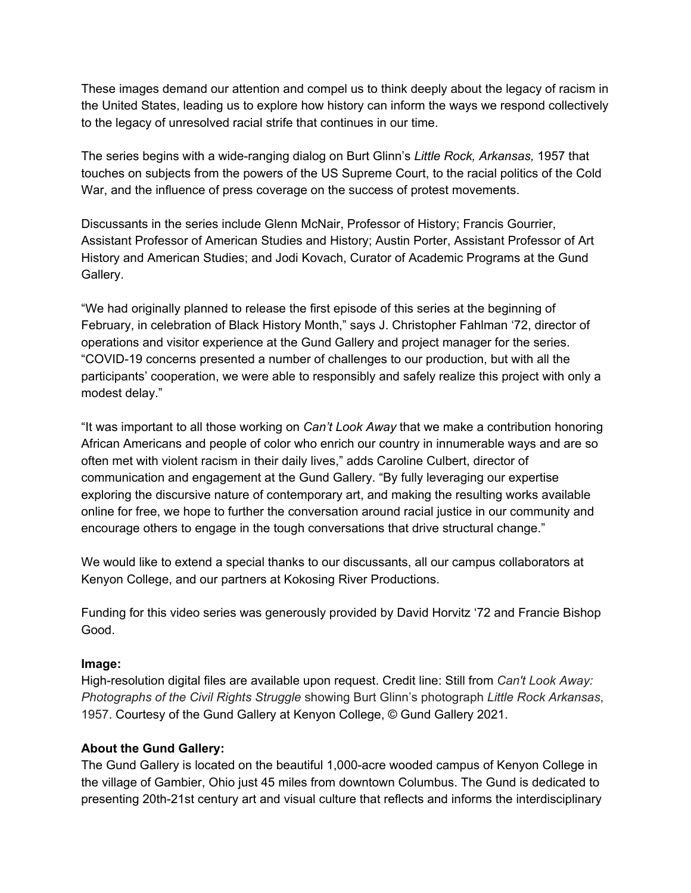These images demand our attention and compel us to think deeply about the legacy of racism in the United States, leading us to explore how history can inform the ways we respond collectively to the legacy of unresolved racial strife that continues in our time.

The series begins with a wide-ranging dialog on Burt Glinn's *Little Rock, Arkansas,* 1957 that touches on subjects from the powers of the US Supreme Court, to the racial politics of the Cold War, and the influence of press coverage on the success of protest movements.

Discussants in the series include Glenn McNair, Professor of History; Francis Gourrier, Assistant Professor of American Studies and History; Austin Porter, Assistant Professor of Art History and American Studies; and Jodi Kovach, Curator of Academic Programs at the Gund Gallery.

"We had originally planned to release the first episode of this series at the beginning of February, in celebration of Black History Month," says J. Christopher Fahlman '72, director of operations and visitor experience at the Gund Gallery and project manager for the series. "COVID-19 concerns presented a number of challenges to our production, but with all the participants' cooperation, we were able to responsibly and safely realize this project with only a modest delay."

"It was important to all those working on *Can't Look Away* that we make a contribution honoring African Americans and people of color who enrich our country in innumerable ways and are so often met with violent racism in their daily lives," adds Caroline Culbert, director of communication and engagement at the Gund Gallery. "By fully leveraging our expertise exploring the discursive nature of contemporary art, and making the resulting works available online for free, we hope to further the conversation around racial justice in our community and encourage others to engage in the tough conversations that drive structural change."

We would like to extend a special thanks to our discussants, all our campus collaborators at Kenyon College, and our partners at Kokosing River Productions.

Funding for this video series was generously provided by David Horvitz '72 and Francie Bishop Good.

# **Image:**

High-resolution digital files are available upon request. Credit line: Still from *Can't Look Away: Photographs of the Civil Rights Struggle* showing Burt Glinn's photograph *Little Rock Arkansas*, 1957. Courtesy of the Gund Gallery at Kenyon College, © Gund Gallery 2021.

# **About the Gund Gallery:**

The Gund Gallery is located on the beautiful 1,000-acre wooded campus of Kenyon College in the village of Gambier, Ohio just 45 miles from downtown Columbus. The Gund is dedicated to presenting 20th-21st century art and visual culture that reflects and informs the interdisciplinary